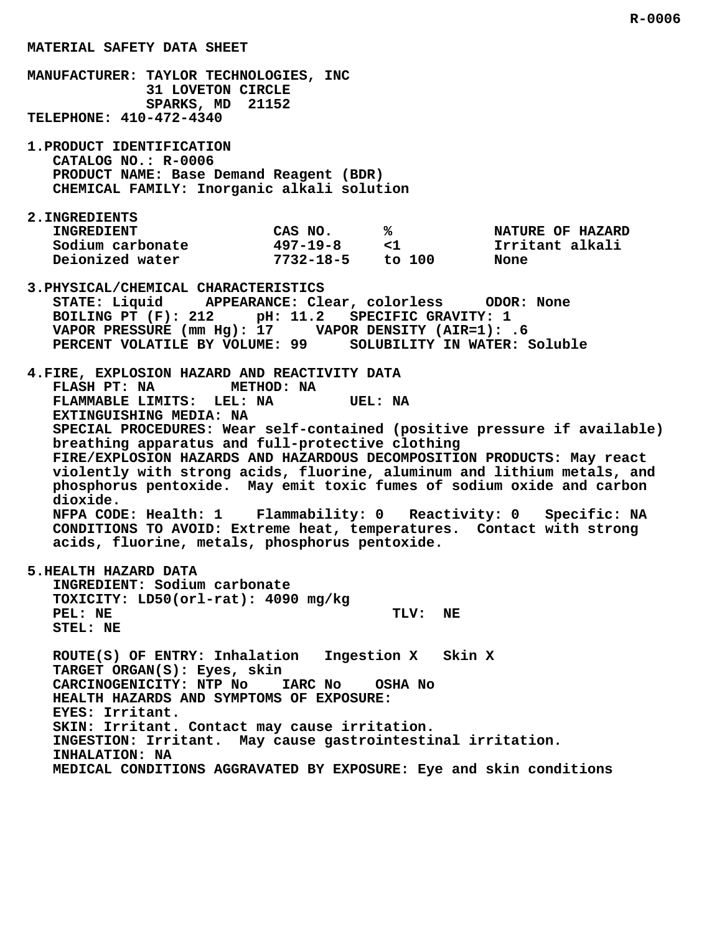**MANUFACTURER: TAYLOR TECHNOLOGIES, INC 31 LOVETON CIRCLE SPARKS, MD 21152 TELEPHONE: 410-472-4340 1.PRODUCT IDENTIFICATION CATALOG NO.: R-0006 PRODUCT NAME: Base Demand Reagent (BDR) CHEMICAL FAMILY: Inorganic alkali solution 2.INGREDIENTS INGREDIENT CAS NO. % NATURE OF HAZARD Sodium carbonate 497-19-8 <1 Irritant alkali Deionized water 7732-18-5 to 100 None 3.PHYSICAL/CHEMICAL CHARACTERISTICS STATE: Liquid APPEARANCE: Clear, colorless ODOR: None BOILING PT (F): 212 pH: 11.2 SPECIFIC GRAVITY: 1 VAPOR PRESSURE (mm Hg): 17 VAPOR DENSITY (AIR=1): .6 PERCENT VOLATILE BY VOLUME: 99 SOLUBILITY IN WATER: Soluble 4.FIRE, EXPLOSION HAZARD AND REACTIVITY DATA FLASH PT: NA METHOD: NA FLAMMABLE LIMITS: LEL: NA UEL: NA EXTINGUISHING MEDIA: NA SPECIAL PROCEDURES: Wear self-contained (positive pressure if available) breathing apparatus and full-protective clothing FIRE/EXPLOSION HAZARDS AND HAZARDOUS DECOMPOSITION PRODUCTS: May react violently with strong acids, fluorine, aluminum and lithium metals, and phosphorus pentoxide. May emit toxic fumes of sodium oxide and carbon dioxide. NFPA CODE: Health: 1 Flammability: 0 Reactivity: 0 Specific: NA CONDITIONS TO AVOID: Extreme heat, temperatures. Contact with strong acids, fluorine, metals, phosphorus pentoxide. 5.HEALTH HAZARD DATA INGREDIENT: Sodium carbonate TOXICITY: LD50(orl-rat): 4090 mg/kg** PEL: NE TLV: NE  **STEL: NE ROUTE(S) OF ENTRY: Inhalation Ingestion X Skin X TARGET ORGAN(S): Eyes, skin CARCINOGENICITY: NTP No IARC No OSHA No HEALTH HAZARDS AND SYMPTOMS OF EXPOSURE: EYES: Irritant. SKIN: Irritant. Contact may cause irritation. INGESTION: Irritant. May cause gastrointestinal irritation. INHALATION: NA MEDICAL CONDITIONS AGGRAVATED BY EXPOSURE: Eye and skin conditions**

 **MATERIAL SAFETY DATA SHEET**